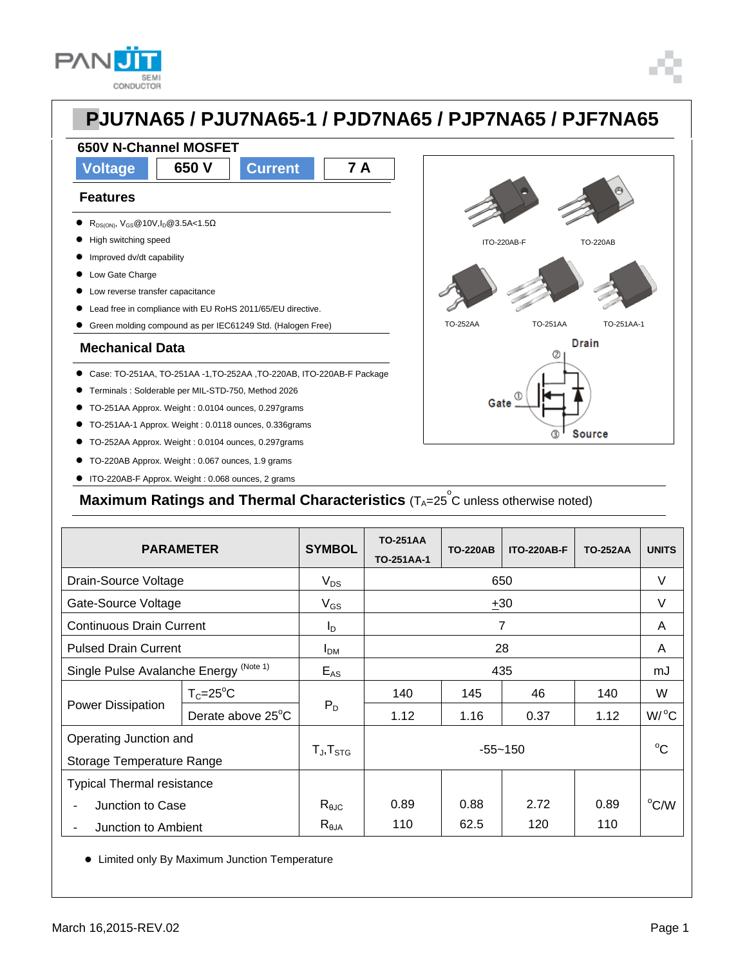



**Voltage 650 V Current 7 A**

### **Features**

R<sub>DS(ON)</sub>, V<sub>GS</sub>@10V,I<sub>D</sub>@3.5A<1.5 $\Omega$ 

**650V N-Channel MOSFET**

- $\bullet$  High switching speed
- **Improved dv/dt capability**
- Low Gate Charge
- $\bullet$  Low reverse transfer capacitance
- Lead free in compliance with EU RoHS 2011/65/EU directive.
- Green molding compound as per IEC61249 Std. (Halogen Free)

#### **Mechanical Data**

- Case: TO-251AA, TO-251AA -1,TO-252AA ,TO-220AB, ITO-220AB-F Package
- Terminals : Solderable per MIL-STD-750, Method 2026
- TO-251AA Approx. Weight : 0.0104 ounces, 0.297grams
- TO-251AA-1 Approx. Weight : 0.0118 ounces, 0.336grams
- TO-252AA Approx. Weight : 0.0104 ounces, 0.297grams
- TO-220AB Approx. Weight : 0.067 ounces, 1.9 grams
- ITO-220AB-F Approx. Weight : 0.068 ounces, 2 grams



**Maximum Ratings and Thermal Characteristics** (T<sub>A</sub>=25<sup>°</sup>C unless otherwise noted)

| <b>PARAMETER</b>                                  |                   | <b>SYMBOL</b>       | <b>TO-251AA</b><br>TO-251AA-1 | <b>TO-220AB</b> | <b>ITO-220AB-F</b> | <b>TO-252AA</b> | <b>UNITS</b>         |
|---------------------------------------------------|-------------------|---------------------|-------------------------------|-----------------|--------------------|-----------------|----------------------|
| Drain-Source Voltage                              |                   | $V_{DS}$            | 650                           |                 |                    |                 | V                    |
| Gate-Source Voltage                               |                   | $V_{GS}$            | $+30$                         |                 |                    |                 | $\vee$               |
| <b>Continuous Drain Current</b>                   |                   | $I_{\text{D}}$      | $\overline{7}$                |                 |                    |                 | A                    |
| <b>Pulsed Drain Current</b>                       |                   | I <sub>DM</sub>     | 28                            |                 |                    |                 | A                    |
| Single Pulse Avalanche Energy <sup>(Note 1)</sup> |                   | $E_{AS}$            | 435                           |                 |                    |                 | mJ                   |
| Power Dissipation                                 | $T_c = 25$ °C     | $P_D$               | 140                           | 145             | 46                 | 140             | W                    |
|                                                   | Derate above 25°C |                     | 1.12                          | 1.16            | 0.37               | 1.12            | $W$ <sup>o</sup> $C$ |
| Operating Junction and                            |                   |                     | $-55 - 150$                   |                 |                    |                 | $^{\circ}C$          |
| Storage Temperature Range                         |                   | $T_{J}$ , $T_{STG}$ |                               |                 |                    |                 |                      |
| <b>Typical Thermal resistance</b>                 |                   |                     |                               |                 |                    |                 |                      |
| Junction to Case                                  |                   | $R_{\theta JC}$     | 0.89                          | 0.88            | 2.72               | 0.89            | $\rm ^{o}$ C/W       |
| Junction to Ambient                               |                   | $R_{\theta$ JA      | 110                           | 62.5            | 120                | 110             |                      |

Limited only By Maximum Junction Temperature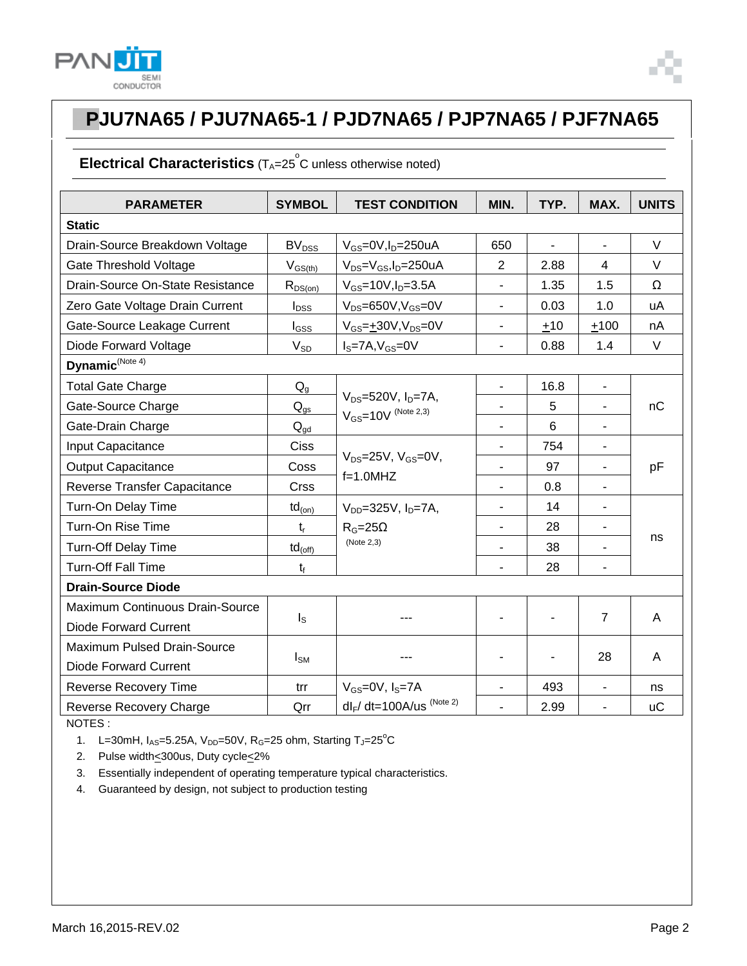



### **Electrical Characteristics** (T<sub>A</sub>=25<sup>°</sup>C unless otherwise noted)

| <b>PARAMETER</b>                 | <b>SYMBOL</b>              | <b>TEST CONDITION</b>                                      | MIN.                     | TYP.           | MAX.                     | <b>UNITS</b> |
|----------------------------------|----------------------------|------------------------------------------------------------|--------------------------|----------------|--------------------------|--------------|
| <b>Static</b>                    |                            |                                                            |                          |                |                          |              |
| Drain-Source Breakdown Voltage   | BV <sub>DSS</sub>          | $V_{GS}$ =0V, $I_D$ =250uA                                 | 650                      | $\blacksquare$ | $\overline{\phantom{a}}$ | V            |
| Gate Threshold Voltage           | $V_{GS(th)}$               | $V_{DS} = V_{GS}$ , I <sub>D</sub> =250uA                  | $\overline{2}$           | 2.88           | $\overline{4}$           | $\vee$       |
| Drain-Source On-State Resistance | $R_{DS(on)}$               | $V_{GS}$ =10V, $I_{D}$ =3.5A                               |                          | 1.35           | 1.5                      | Ω            |
| Zero Gate Voltage Drain Current  | $I_{DSS}$                  | $V_{DS} = 650V, V_{GS} = 0V$                               | $\blacksquare$           | 0.03           | 1.0                      | uA           |
| Gate-Source Leakage Current      | $I_{GSS}$                  | $V_{GS} = \pm 30V, V_{DS} = 0V$                            | $\overline{\phantom{a}}$ | $+10$          | $+100$                   | nA           |
| Diode Forward Voltage            | $V_{SD}$                   | $IS=7A, VGS=0V$                                            | $\blacksquare$           | 0.88           | 1.4                      | $\vee$       |
| Dynamic <sup>(Note 4)</sup>      |                            |                                                            |                          |                |                          |              |
| <b>Total Gate Charge</b>         | $Q_{q}$                    |                                                            | $\overline{\phantom{a}}$ | 16.8           | $\overline{\phantom{a}}$ | nC           |
| Gate-Source Charge               | $\mathsf{Q}_{\text{gs}}$   | $V_{DS} = 520V$ , $I_D = 7A$ ,<br>$V_{GS}$ =10V (Note 2,3) |                          | 5              | ÷,                       |              |
| Gate-Drain Charge                | $\mathsf{Q}_{\mathsf{gd}}$ |                                                            |                          | 6              |                          |              |
| Input Capacitance                | Ciss                       |                                                            | $\overline{\phantom{a}}$ | 754            | ä,                       | pF           |
| <b>Output Capacitance</b>        | Coss                       | $V_{DS}$ =25V, $V_{GS}$ =0V,                               | L,                       | 97             | $\blacksquare$           |              |
| Reverse Transfer Capacitance     | <b>Crss</b>                | $f=1.0$ MHZ                                                | $\blacksquare$           | 0.8            | $\overline{\phantom{a}}$ |              |
| Turn-On Delay Time               | $td_{(on)}$                | $V_{DD} = 325V, I_D = 7A,$                                 |                          | 14             | $\blacksquare$           |              |
| Turn-On Rise Time                | $t_{r}$                    | $R_G = 25\Omega$                                           |                          | 28             | $\blacksquare$           |              |
| Turn-Off Delay Time              | $td_{(off)}$               | (Note 2,3)                                                 |                          | 38             |                          | ns           |
| <b>Turn-Off Fall Time</b>        | $t_{f}$                    |                                                            | ä,                       | 28             | ä,                       |              |
| <b>Drain-Source Diode</b>        |                            |                                                            |                          |                |                          |              |
| Maximum Continuous Drain-Source  |                            |                                                            |                          |                |                          |              |
| <b>Diode Forward Current</b>     | $I_{\rm S}$                |                                                            |                          |                | $\overline{7}$           | A            |
| Maximum Pulsed Drain-Source      |                            |                                                            |                          |                | 28                       | A            |
| <b>Diode Forward Current</b>     | $I_{\text{SM}}$            |                                                            |                          |                |                          |              |
| <b>Reverse Recovery Time</b>     | trr                        | $V_{GS}$ =0V, $I_S$ =7A                                    | $\blacksquare$           | 493            | $\blacksquare$           | ns           |
| Reverse Recovery Charge          | Qrr                        | $dl_F/dt = 100A/us$ (Note 2)                               |                          | 2.99           | $\overline{a}$           | <b>uC</b>    |

NOTES :

1. L=30mH,  $I_{AS}$ =5.25A,  $V_{DD}$ =50V, R<sub>G</sub>=25 ohm, Starting T<sub>J</sub>=25<sup>°</sup>C

2. Pulse width<300us, Duty cycle<2%

3. Essentially independent of operating temperature typical characteristics.

4. Guaranteed by design, not subject to production testing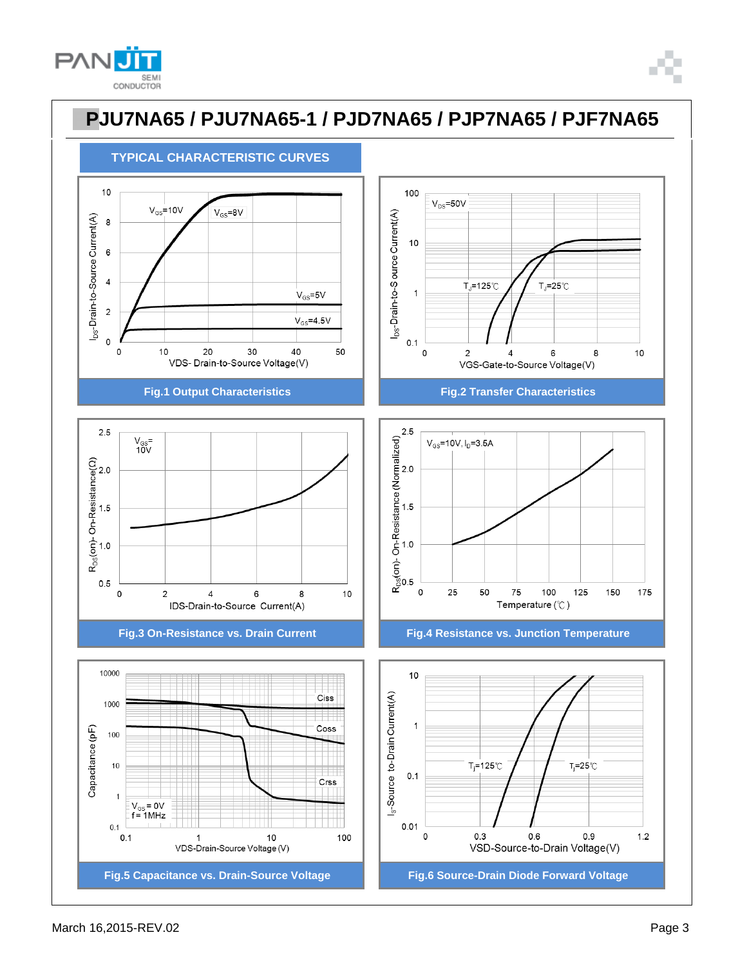













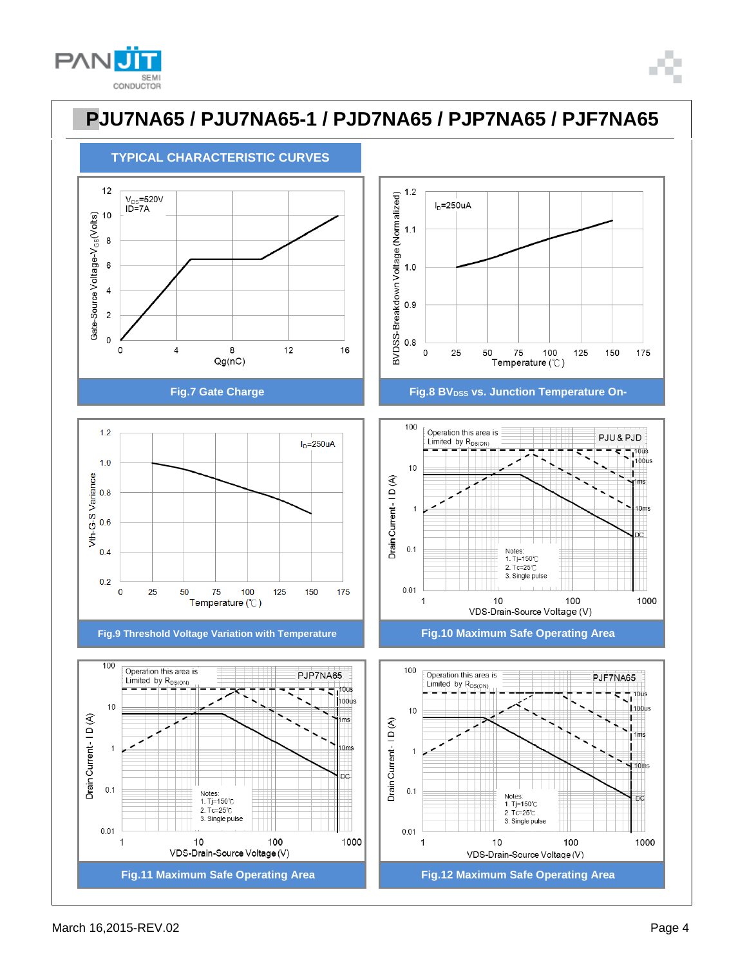





 $0.4$  $0.2$  $\bf{0}$ 25 75 100 125 150 175 50 Temperature (°C)











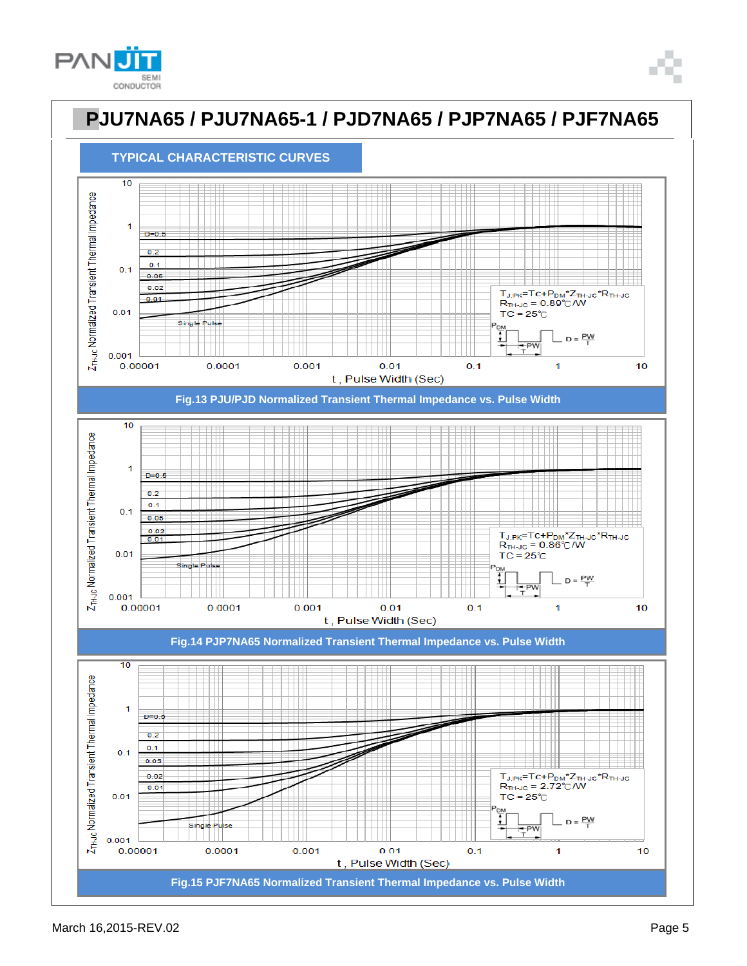



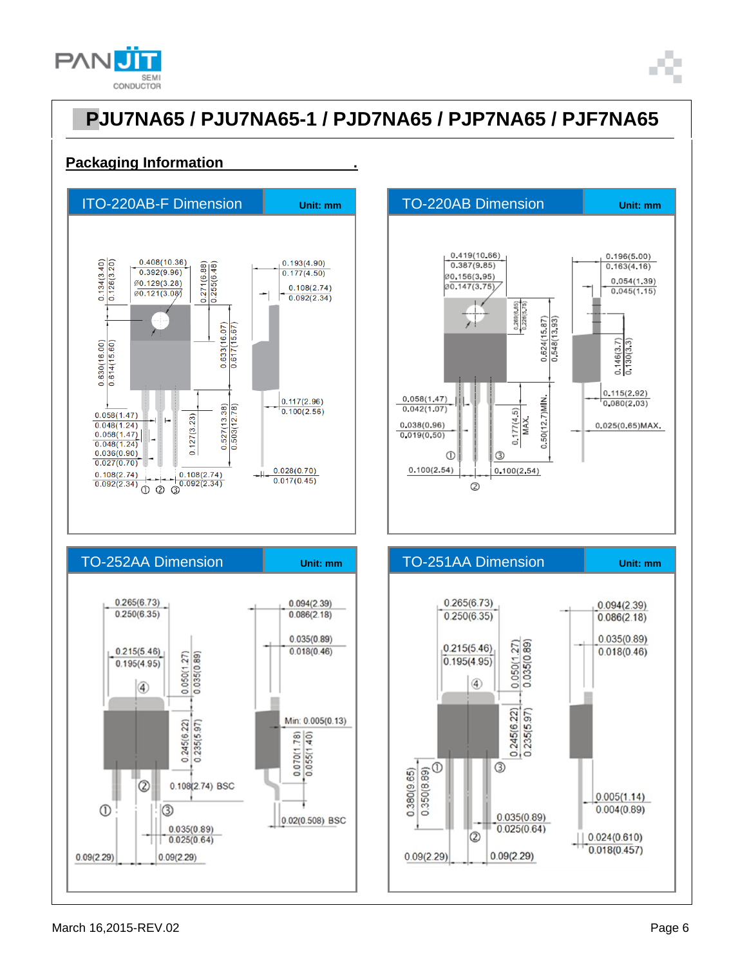



#### **Packaging Information .**







 $0.09(2.29)$ 

 $0.09(2.29)$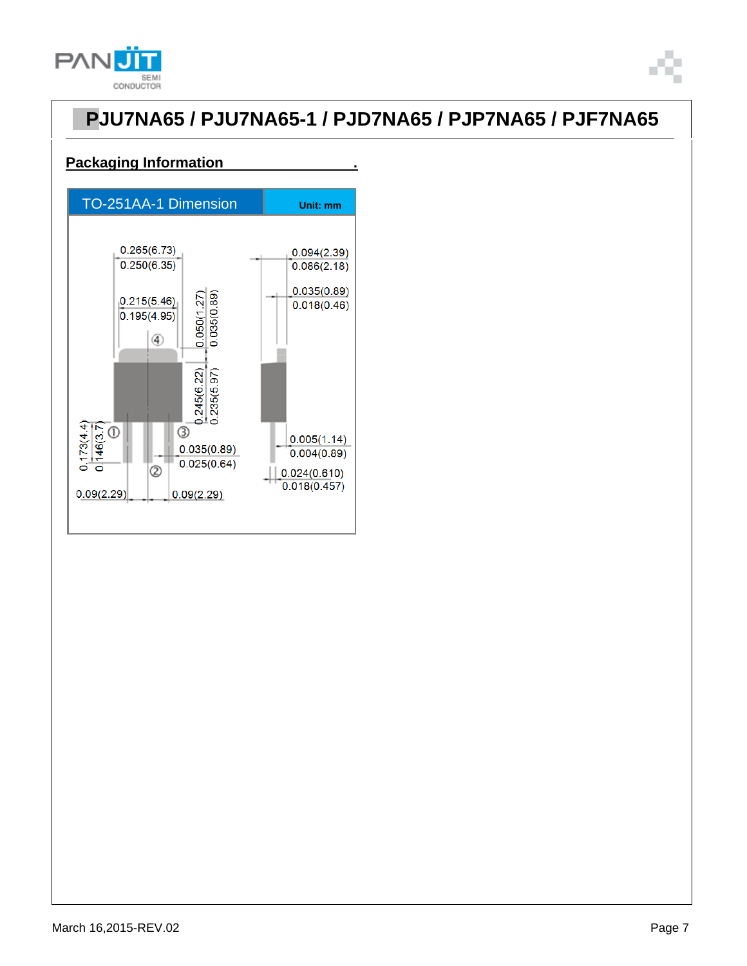



#### **Packaging Information .**

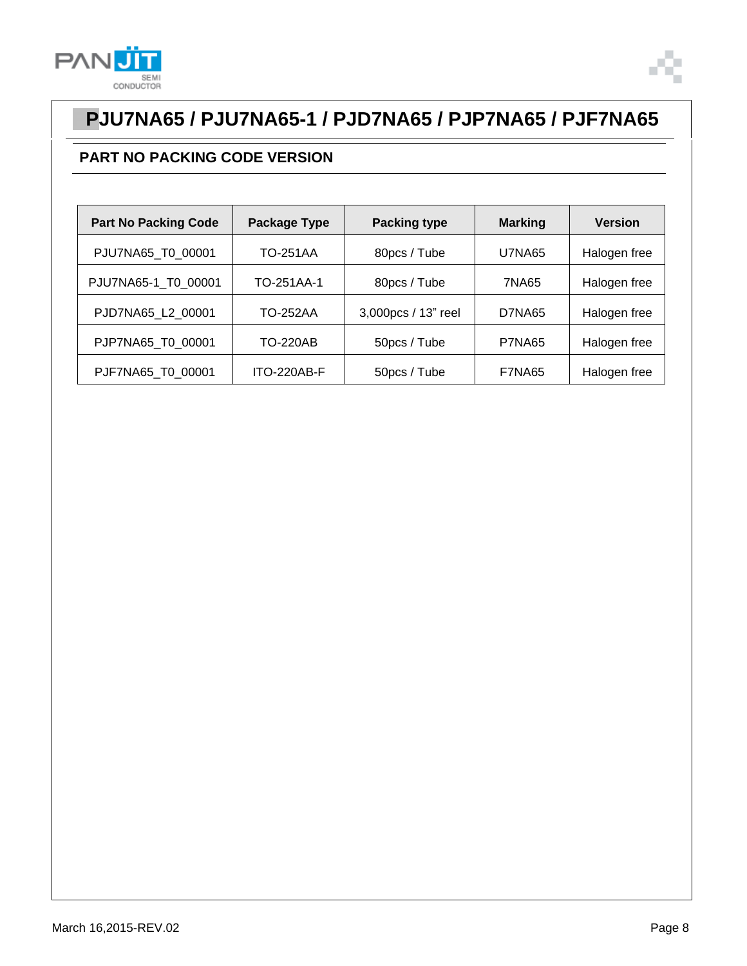



### **PART NO PACKING CODE VERSION**

| <b>Part No Packing Code</b> | Package Type    | <b>Packing type</b> | <b>Marking</b> | <b>Version</b> |
|-----------------------------|-----------------|---------------------|----------------|----------------|
| PJU7NA65_T0_00001           | <b>TO-251AA</b> | 80pcs / Tube        | <b>U7NA65</b>  | Halogen free   |
| PJU7NA65-1 T0 00001         | TO-251AA-1      | 80pcs / Tube        | 7NA65          | Halogen free   |
| PJD7NA65_L2_00001           | <b>TO-252AA</b> | 3,000pcs / 13" reel | D7NA65         | Halogen free   |
| PJP7NA65_T0_00001           | <b>TO-220AB</b> | 50pcs / Tube        | <b>P7NA65</b>  | Halogen free   |
| PJF7NA65 T0 00001           | ITO-220AB-F     | 50pcs / Tube        | <b>F7NA65</b>  | Halogen free   |